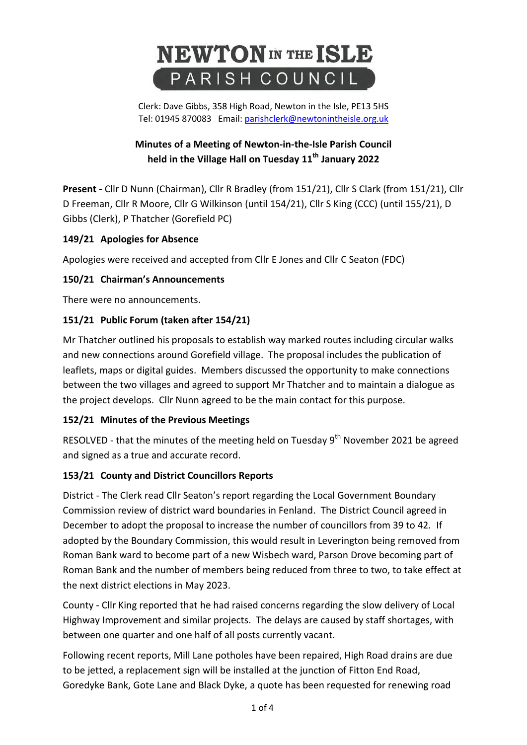# **NEWTON** IN THE ISLE PARISH COUNCIL

Clerk: Dave Gibbs, 358 High Road, Newton in the Isle, PE13 5HS Tel: 01945 870083 Email: [parishclerk@newtonintheisle.org.uk](mailto:parishclerk@newtonintheisle.org.uk)

# **Minutes of a Meeting of Newton-in-the-Isle Parish Council held in the Village Hall on Tuesday 11th January 2022**

**Present -** Cllr D Nunn (Chairman), Cllr R Bradley (from 151/21), Cllr S Clark (from 151/21), Cllr D Freeman, Cllr R Moore, Cllr G Wilkinson (until 154/21), Cllr S King (CCC) (until 155/21), D Gibbs (Clerk), P Thatcher (Gorefield PC)

# **149/21 Apologies for Absence**

Apologies were received and accepted from Cllr E Jones and Cllr C Seaton (FDC)

# **150/21 Chairman's Announcements**

There were no announcements.

# **151/21 Public Forum (taken after 154/21)**

Mr Thatcher outlined his proposals to establish way marked routes including circular walks and new connections around Gorefield village. The proposal includes the publication of leaflets, maps or digital guides. Members discussed the opportunity to make connections between the two villages and agreed to support Mr Thatcher and to maintain a dialogue as the project develops. Cllr Nunn agreed to be the main contact for this purpose.

# **152/21 Minutes of the Previous Meetings**

RESOLVED - that the minutes of the meeting held on Tuesday 9<sup>th</sup> November 2021 be agreed and signed as a true and accurate record.

# **153/21 County and District Councillors Reports**

District - The Clerk read Cllr Seaton's report regarding the Local Government Boundary Commission review of district ward boundaries in Fenland. The District Council agreed in December to adopt the proposal to increase the number of councillors from 39 to 42. If adopted by the Boundary Commission, this would result in Leverington being removed from Roman Bank ward to become part of a new Wisbech ward, Parson Drove becoming part of Roman Bank and the number of members being reduced from three to two, to take effect at the next district elections in May 2023.

County - Cllr King reported that he had raised concerns regarding the slow delivery of Local Highway Improvement and similar projects. The delays are caused by staff shortages, with between one quarter and one half of all posts currently vacant.

Following recent reports, Mill Lane potholes have been repaired, High Road drains are due to be jetted, a replacement sign will be installed at the junction of Fitton End Road, Goredyke Bank, Gote Lane and Black Dyke, a quote has been requested for renewing road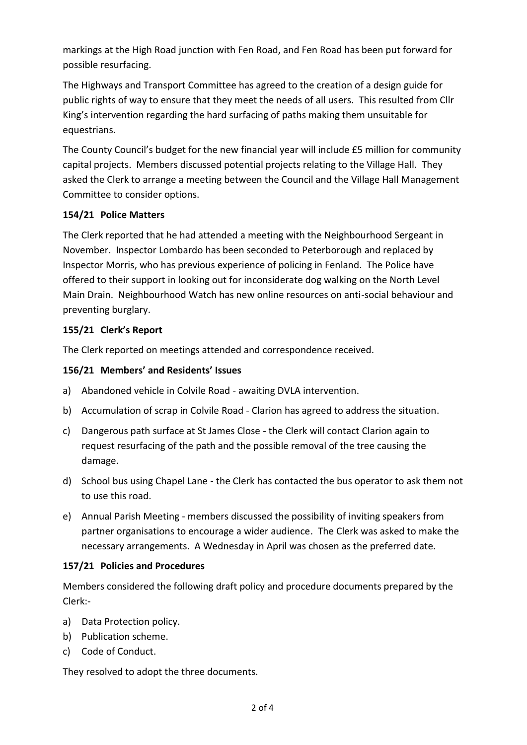markings at the High Road junction with Fen Road, and Fen Road has been put forward for possible resurfacing.

The Highways and Transport Committee has agreed to the creation of a design guide for public rights of way to ensure that they meet the needs of all users. This resulted from Cllr King's intervention regarding the hard surfacing of paths making them unsuitable for equestrians.

The County Council's budget for the new financial year will include £5 million for community capital projects. Members discussed potential projects relating to the Village Hall. They asked the Clerk to arrange a meeting between the Council and the Village Hall Management Committee to consider options.

## **154/21 Police Matters**

The Clerk reported that he had attended a meeting with the Neighbourhood Sergeant in November. Inspector Lombardo has been seconded to Peterborough and replaced by Inspector Morris, who has previous experience of policing in Fenland. The Police have offered to their support in looking out for inconsiderate dog walking on the North Level Main Drain. Neighbourhood Watch has new online resources on anti-social behaviour and preventing burglary.

## **155/21 Clerk's Report**

The Clerk reported on meetings attended and correspondence received.

## **156/21 Members' and Residents' Issues**

- a) Abandoned vehicle in Colvile Road awaiting DVLA intervention.
- b) Accumulation of scrap in Colvile Road Clarion has agreed to address the situation.
- c) Dangerous path surface at St James Close the Clerk will contact Clarion again to request resurfacing of the path and the possible removal of the tree causing the damage.
- d) School bus using Chapel Lane the Clerk has contacted the bus operator to ask them not to use this road.
- e) Annual Parish Meeting members discussed the possibility of inviting speakers from partner organisations to encourage a wider audience. The Clerk was asked to make the necessary arrangements. A Wednesday in April was chosen as the preferred date.

## **157/21 Policies and Procedures**

Members considered the following draft policy and procedure documents prepared by the Clerk:-

- a) Data Protection policy.
- b) Publication scheme.
- c) Code of Conduct.

They resolved to adopt the three documents.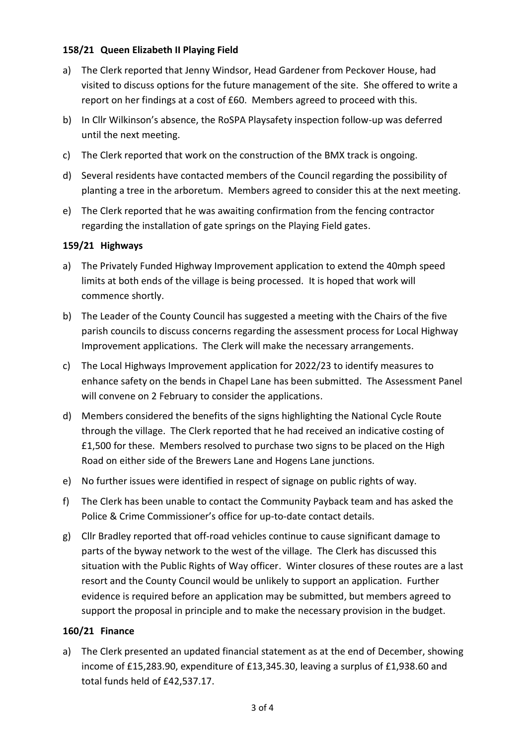## **158/21 Queen Elizabeth II Playing Field**

- a) The Clerk reported that Jenny Windsor, Head Gardener from Peckover House, had visited to discuss options for the future management of the site. She offered to write a report on her findings at a cost of £60. Members agreed to proceed with this.
- b) In Cllr Wilkinson's absence, the RoSPA Playsafety inspection follow-up was deferred until the next meeting.
- c) The Clerk reported that work on the construction of the BMX track is ongoing.
- d) Several residents have contacted members of the Council regarding the possibility of planting a tree in the arboretum. Members agreed to consider this at the next meeting.
- e) The Clerk reported that he was awaiting confirmation from the fencing contractor regarding the installation of gate springs on the Playing Field gates.

## **159/21 Highways**

- a) The Privately Funded Highway Improvement application to extend the 40mph speed limits at both ends of the village is being processed. It is hoped that work will commence shortly.
- b) The Leader of the County Council has suggested a meeting with the Chairs of the five parish councils to discuss concerns regarding the assessment process for Local Highway Improvement applications. The Clerk will make the necessary arrangements.
- c) The Local Highways Improvement application for 2022/23 to identify measures to enhance safety on the bends in Chapel Lane has been submitted. The Assessment Panel will convene on 2 February to consider the applications.
- d) Members considered the benefits of the signs highlighting the National Cycle Route through the village. The Clerk reported that he had received an indicative costing of £1,500 for these. Members resolved to purchase two signs to be placed on the High Road on either side of the Brewers Lane and Hogens Lane junctions.
- e) No further issues were identified in respect of signage on public rights of way.
- f) The Clerk has been unable to contact the Community Payback team and has asked the Police & Crime Commissioner's office for up-to-date contact details.
- g) Cllr Bradley reported that off-road vehicles continue to cause significant damage to parts of the byway network to the west of the village. The Clerk has discussed this situation with the Public Rights of Way officer. Winter closures of these routes are a last resort and the County Council would be unlikely to support an application. Further evidence is required before an application may be submitted, but members agreed to support the proposal in principle and to make the necessary provision in the budget.

## **160/21 Finance**

a) The Clerk presented an updated financial statement as at the end of December, showing income of £15,283.90, expenditure of £13,345.30, leaving a surplus of £1,938.60 and total funds held of £42,537.17.